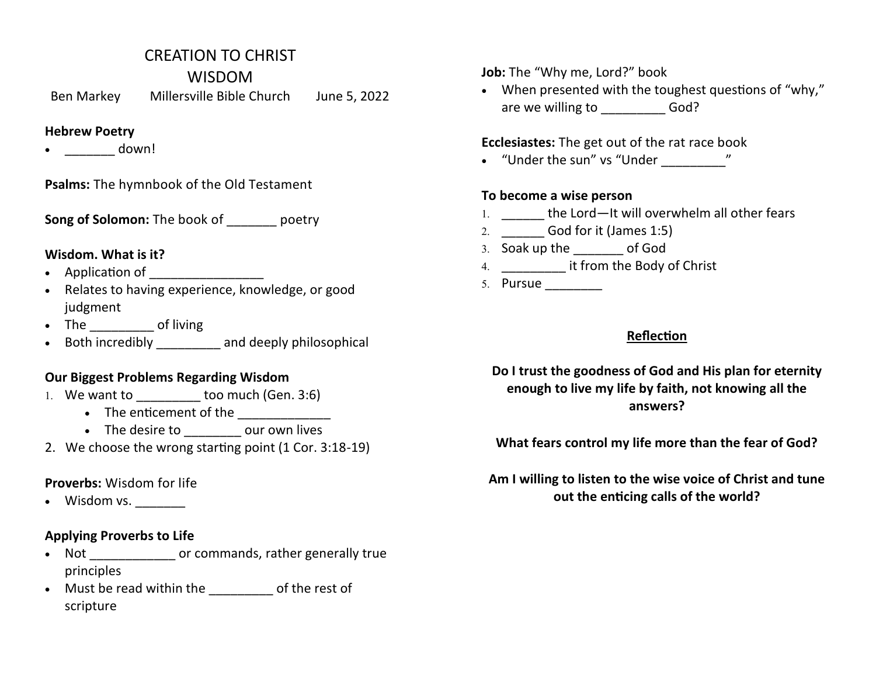## CREATION TO CHRIST

WISDOM

Ben Markey Millersville Bible Church June 5, 2022

#### **Hebrew Poetry**

 $\bullet$  down!

**Psalms:** The hymnbook of the Old Testament

**Song of Solomon:** The book of **poetry** 

### **Wisdom. What is it?**

- Application of \_\_\_\_\_\_\_\_\_\_\_\_\_\_\_\_
- Relates to having experience, knowledge, or good judgment
- The of living
- Both incredibly and deeply philosophical

### **Our Biggest Problems Regarding Wisdom**

- 1. We want to \_\_\_\_\_\_\_\_\_ too much (Gen. 3:6)
	- The enticement of the **\_\_\_\_\_\_\_\_\_**
	- The desire to even our own lives
- 2. We choose the wrong starting point (1 Cor. 3:18-19)

## **Proverbs:** Wisdom for life

• Wisdom vs.

### **Applying Proverbs to Life**

- Not \_\_\_\_\_\_\_\_\_\_\_\_\_\_\_ or commands, rather generally true principles
- Must be read within the of the rest of scripture

**Job:** The "Why me, Lord?" book

 When presented with the toughest questions of "why," are we willing to God?

## **Ecclesiastes:** The get out of the rat race book

"Under the sun" vs "Under \_\_\_\_\_\_\_\_\_"

### **To become a wise person**

- 1. the Lord—It will overwhelm all other fears
- \_\_\_\_\_\_ God for it (James 1:5)
- 3. Soak up the of God
- 4. \_\_\_\_\_\_\_\_\_\_\_\_\_\_ it from the Body of Christ
- 5. Pursue \_\_\_\_\_\_\_\_\_\_

## **Reflection**

**Do I trust the goodness of God and His plan for eternity enough to live my life by faith, not knowing all the answers?**

**What fears control my life more than the fear of God?**

**Am I willing to listen to the wise voice of Christ and tune out the enticing calls of the world?**